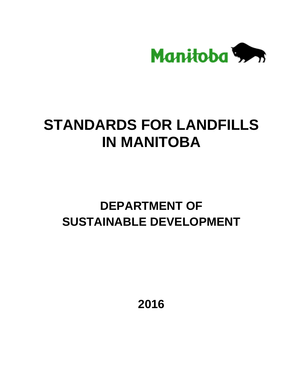

# **STANDARDS FOR LANDFILLS IN MANITOBA**

# **DEPARTMENT OF SUSTAINABLE DEVELOPMENT**

**2016**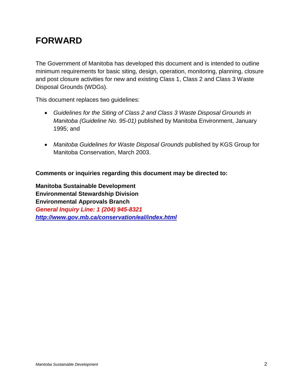# **FORWARD**

The Government of Manitoba has developed this document and is intended to outline minimum requirements for basic siting, design, operation, monitoring, planning, closure and post closure activities for new and existing Class 1, Class 2 and Class 3 Waste Disposal Grounds (WDGs).

This document replaces two guidelines:

- *Guidelines for the Siting of Class 2 and Class 3 Waste Disposal Grounds in Manitoba (Guideline No. 95-01)* published by Manitoba Environment, January 1995; and
- *Manitoba Guidelines for Waste Disposal Grounds* published by KGS Group for Manitoba Conservation, March 2003.

**Comments or inquiries regarding this document may be directed to:**

**Manitoba Sustainable Development Environmental Stewardship Division Environmental Approvals Branch** *General Inquiry Line: 1 (204) 945-8321 <http://www.gov.mb.ca/conservation/eal/index.html>*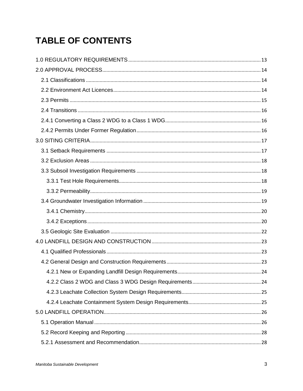# **TABLE OF CONTENTS**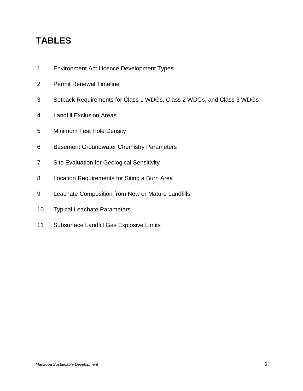# **TABLES**

- Environment Act Licence Development Types
- Permit Renewal Timeline
- Setback Requirements for Class 1 WDGs, Class 2 WDGs, and Class 3 WDGs
- Landfill Exclusion Areas
- Minimum Test Hole Density
- Basement Groundwater Chemistry Parameters
- Site Evaluation for Geological Sensitivity
- Location Requirements for Siting a Burn Area
- Leachate Composition from New or Mature Landfills
- Typical Leachate Parameters
- Subsurface Landfill Gas Explosive Limits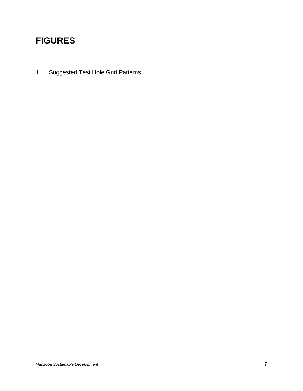# **FIGURES**

1 Suggested Test Hole Grid Patterns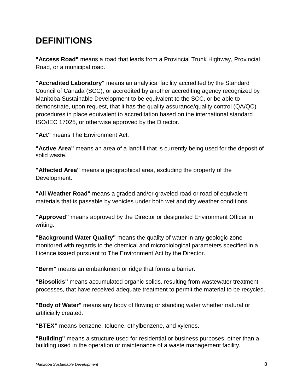# **DEFINITIONS**

**"Access Road"** means a road that leads from a Provincial Trunk Highway, Provincial Road, or a municipal road.

**"Accredited Laboratory"** means an analytical facility accredited by the Standard Council of Canada (SCC), or accredited by another accrediting agency recognized by Manitoba Sustainable Development to be equivalent to the SCC, or be able to demonstrate, upon request, that it has the quality assurance/quality control (QA/QC) procedures in place equivalent to accreditation based on the international standard ISO/IEC 17025, or otherwise approved by the Director.

**"Act"** means The Environment Act.

**"Active Area"** means an area of a landfill that is currently being used for the deposit of solid waste.

**"Affected Area"** means a geographical area, excluding the property of the Development.

**"All Weather Road"** means a graded and/or graveled road or road of equivalent materials that is passable by vehicles under both wet and dry weather conditions.

**"Approved"** means approved by the Director or designated Environment Officer in writing.

**"Background Water Quality"** means the quality of water in any geologic zone monitored with regards to the chemical and microbiological parameters specified in a Licence issued pursuant to The Environment Act by the Director.

**"Berm"** means an embankment or ridge that forms a barrier.

**"Biosolids"** means accumulated organic solids, resulting from wastewater treatment processes, that have received adequate treatment to permit the material to be recycled.

**"Body of Water"** means any body of flowing or standing water whether natural or artificially created.

**"BTEX"** means benzene, toluene, ethylbenzene, and xylenes.

**"Building"** means a structure used for residential or business purposes, other than a building used in the operation or maintenance of a waste management facility.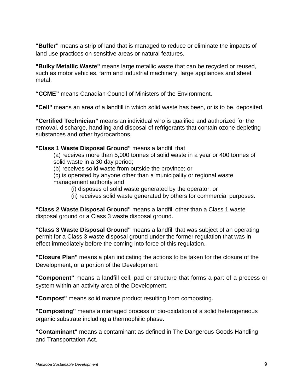**"Buffer"** means a strip of land that is managed to reduce or eliminate the impacts of land use practices on sensitive areas or natural features.

**"Bulky Metallic Waste"** means large metallic waste that can be recycled or reused, such as motor vehicles, farm and industrial machinery, large appliances and sheet metal.

**"CCME"** means Canadian Council of Ministers of the Environment.

**"Cell"** means an area of a landfill in which solid waste has been, or is to be, deposited.

**"Certified Technician"** means an individual who is qualified and authorized for the removal, discharge, handling and disposal of refrigerants that contain ozone depleting substances and other hydrocarbons.

#### **"Class 1 Waste Disposal Ground"** means a landfill that

(a) receives more than 5,000 tonnes of solid waste in a year or 400 tonnes of solid waste in a 30 day period;

(b) receives solid waste from outside the province; or

(c) is operated by anyone other than a municipality or regional waste management authority and

(i) disposes of solid waste generated by the operator, or

(ii) receives solid waste generated by others for commercial purposes.

**"Class 2 Waste Disposal Ground"** means a landfill other than a Class 1 waste disposal ground or a Class 3 waste disposal ground.

**"Class 3 Waste Disposal Ground"** means a landfill that was subject of an operating permit for a Class 3 waste disposal ground under the former regulation that was in effect immediately before the coming into force of this regulation.

**"Closure Plan"** means a plan indicating the actions to be taken for the closure of the Development, or a portion of the Development.

**"Component"** means a landfill cell, pad or structure that forms a part of a process or system within an activity area of the Development.

**"Compost"** means solid mature product resulting from composting.

**"Composting"** means a managed process of bio-oxidation of a solid heterogeneous organic substrate including a thermophilic phase.

**"Contaminant"** means a contaminant as defined in The Dangerous Goods Handling and Transportation Act.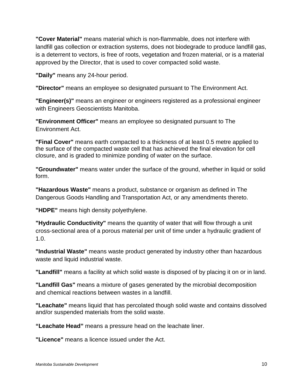**"Cover Material"** means material which is non-flammable, does not interfere with landfill gas collection or extraction systems, does not biodegrade to produce landfill gas, is a deterrent to vectors, is free of roots, vegetation and frozen material, or is a material approved by the Director, that is used to cover compacted solid waste.

**"Daily"** means any 24-hour period.

**"Director"** means an employee so designated pursuant to The Environment Act.

**"Engineer(s)"** means an engineer or engineers registered as a professional engineer with Engineers Geoscientists Manitoba.

**"Environment Officer"** means an employee so designated pursuant to The Environment Act.

**"Final Cover"** means earth compacted to a thickness of at least 0.5 metre applied to the surface of the compacted waste cell that has achieved the final elevation for cell closure, and is graded to minimize ponding of water on the surface.

**"Groundwater"** means water under the surface of the ground, whether in liquid or solid form.

**"Hazardous Waste"** means a product, substance or organism as defined in The Dangerous Goods Handling and Transportation Act, or any amendments thereto.

**"HDPE"** means high density polyethylene.

**"Hydraulic Conductivity"** means the quantity of water that will flow through a unit cross-sectional area of a porous material per unit of time under a hydraulic gradient of 1.0.

**"Industrial Waste"** means waste product generated by industry other than hazardous waste and liquid industrial waste.

**"Landfill"** means a facility at which solid waste is disposed of by placing it on or in land.

**"Landfill Gas"** means a mixture of gases generated by the microbial decomposition and chemical reactions between wastes in a landfill.

**"Leachate"** means liquid that has percolated though solid waste and contains dissolved and/or suspended materials from the solid waste.

**"Leachate Head"** means a pressure head on the leachate liner.

**"Licence"** means a licence issued under the Act.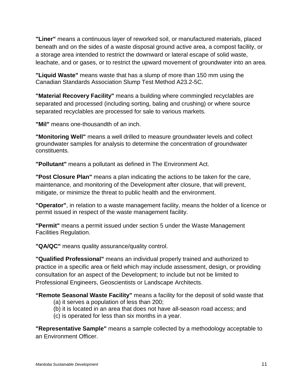**"Liner"** means a continuous layer of reworked soil, or manufactured materials, placed beneath and on the sides of a waste disposal ground active area, a compost facility, or a storage area intended to restrict the downward or lateral escape of solid waste, leachate, and or gases, or to restrict the upward movement of groundwater into an area.

**"Liquid Waste"** means waste that has a slump of more than 150 mm using the Canadian Standards Association Slump Test Method A23.2-5C.

**"Material Recovery Facility"** means a building where commingled recyclables are separated and processed (including sorting, baling and crushing) or where source separated recyclables are processed for sale to various markets.

**"Mil"** means one-thousandth of an inch.

**"Monitoring Well"** means a well drilled to measure groundwater levels and collect groundwater samples for analysis to determine the concentration of groundwater constituents.

**"Pollutant"** means a pollutant as defined in The Environment Act.

**"Post Closure Plan"** means a plan indicating the actions to be taken for the care, maintenance, and monitoring of the Development after closure, that will prevent, mitigate, or minimize the threat to public health and the environment.

**"Operator"**, in relation to a waste management facility, means the holder of a licence or permit issued in respect of the waste management facility.

**"Permit"** means a permit issued under section 5 under the Waste Management Facilities Regulation.

**"QA/QC"** means quality assurance/quality control.

**"Qualified Professional"** means an individual properly trained and authorized to practice in a specific area or field which may include assessment, design, or providing consultation for an aspect of the Development; to include but not be limited to Professional Engineers, Geoscientists or Landscape Architects.

**"Remote Seasonal Waste Facility"** means a facility for the deposit of solid waste that

- (a) it serves a population of less than 200;
- (b) it is located in an area that does not have all-season road access; and
- (c) is operated for less than six months in a year.

**"Representative Sample"** means a sample collected by a methodology acceptable to an Environment Officer.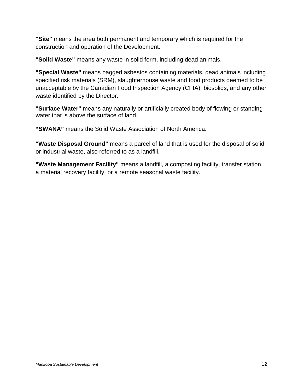**"Site"** means the area both permanent and temporary which is required for the construction and operation of the Development.

**"Solid Waste"** means any waste in solid form, including dead animals.

**"Special Waste"** means bagged asbestos containing materials, dead animals including specified risk materials (SRM), slaughterhouse waste and food products deemed to be unacceptable by the Canadian Food Inspection Agency (CFIA), biosolids, and any other waste identified by the Director.

**"Surface Water"** means any naturally or artificially created body of flowing or standing water that is above the surface of land.

**"SWANA"** means the Solid Waste Association of North America.

**"Waste Disposal Ground"** means a parcel of land that is used for the disposal of solid or industrial waste, also referred to as a landfill.

**"Waste Management Facility"** means a landfill, a composting facility, transfer station, a material recovery facility, or a remote seasonal waste facility.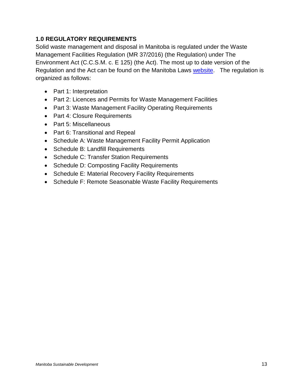# <span id="page-12-0"></span>**1.0 REGULATORY REQUIREMENTS**

Solid waste management and disposal in Manitoba is regulated under the Waste Management Facilities Regulation (MR 37/2016) (the Regulation) under The Environment Act (C.C.S.M. c. E 125) (the Act). The most up to date version of the Regulation and the Act can be found on the Manitoba Laws [website.](http://web2.gov.mb.ca/laws/regs/index.php) The regulation is organized as follows:

- Part 1: Interpretation
- Part 2: Licences and Permits for Waste Management Facilities
- Part 3: Waste Management Facility Operating Requirements
- Part 4: Closure Requirements
- Part 5: Miscellaneous
- Part 6: Transitional and Repeal
- Schedule A: Waste Management Facility Permit Application
- Schedule B: Landfill Requirements
- Schedule C: Transfer Station Requirements
- Schedule D: Composting Facility Requirements
- Schedule E: Material Recovery Facility Requirements
- Schedule F: Remote Seasonable Waste Facility Requirements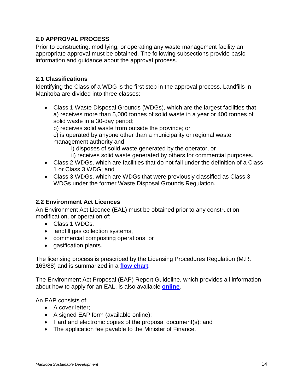# <span id="page-13-0"></span>**2.0 APPROVAL PROCESS**

Prior to constructing, modifying, or operating any waste management facility an appropriate approval must be obtained. The following subsections provide basic information and guidance about the approval process.

#### <span id="page-13-1"></span>**2.1 Classifications**

Identifying the Class of a WDG is the first step in the approval process. Landfills in Manitoba are divided into three classes:

• Class 1 Waste Disposal Grounds (WDGs), which are the largest facilities that a) receives more than 5,000 tonnes of solid waste in a year or 400 tonnes of solid waste in a 30-day period;

b) receives solid waste from outside the province; or

c) is operated by anyone other than a municipality or regional waste management authority and

i) disposes of solid waste generated by the operator, or

- ii) receives solid waste generated by others for commercial purposes.
- Class 2 WDGs, which are facilities that do not fall under the definition of a Class 1 or Class 3 WDG; and
- Class 3 WDGs, which are WDGs that were previously classified as Class 3 WDGs under the former Waste Disposal Grounds Regulation.

#### <span id="page-13-2"></span>**2.2 Environment Act Licences**

An Environment Act Licence (EAL) must be obtained prior to any construction, modification, or operation of:

- Class 1 WDGs,
- landfill gas collection systems,
- commercial composting operations, or
- gasification plants.

The licensing process is prescribed by the Licensing Procedures Regulation (M.R. 163/88) and is summarized in a **[flow chart](http://www.gov.mb.ca/conservation/eal/publs/eal_flowchart.pdf)**.

The Environment Act Proposal (EAP) Report Guideline, which provides all information about how to apply for an EAL, is also available **[online](http://www.gov.mb.ca/conservation/eal/publs/info_eap.pdf)**.

An EAP consists of:

- A cover letter;
- A signed EAP form (available online);
- Hard and electronic copies of the proposal document(s); and
- The application fee payable to the Minister of Finance.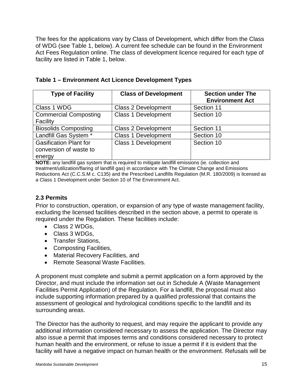The fees for the applications vary by Class of Development, which differ from the Class of WDG (see Table 1, below). A current fee schedule can be found in the Environment Act Fees Regulation online. The class of development licence required for each type of facility are listed in Table 1, below.

| <b>Type of Facility</b>                                           | <b>Class of Development</b> | <b>Section under The</b><br><b>Environment Act</b> |
|-------------------------------------------------------------------|-----------------------------|----------------------------------------------------|
| Class 1 WDG                                                       | <b>Class 2 Development</b>  | Section 11                                         |
| <b>Commercial Composting</b><br>Facility                          | <b>Class 1 Development</b>  | Section 10                                         |
| <b>Biosolids Composting</b>                                       | <b>Class 2 Development</b>  | Section 11                                         |
| Landfill Gas System *                                             | <b>Class 1 Development</b>  | Section 10                                         |
| <b>Gasification Plant for</b><br>conversion of waste to<br>energy | <b>Class 1 Development</b>  | Section 10                                         |

**Table 1 – Environment Act Licence Development Types**

**NOTE:** any landfill gas system that is required to mitigate landfill emissions (ie. collection and treatment/utilization/flaring of landfill gas) in accordance with The Climate Change and Emissions Reductions Act (C.C.S.M c. C135) and the Prescribed Landfills Regulation (M.R. 180/2009) is licensed as a Class 1 Development under Section 10 of The Environment Act.

# <span id="page-14-0"></span>**2.3 Permits**

Prior to construction, operation, or expansion of any type of waste management facility, excluding the licensed facilities described in the section above, a permit to operate is required under the Regulation*.* These facilities include:

- Class 2 WDGs,
- Class 3 WDGs,
- Transfer Stations,
- Composting Facilities,
- Material Recovery Facilities, and
- Remote Seasonal Waste Facilities.

A proponent must complete and submit a permit application on a form approved by the Director, and must include the information set out in Schedule A (Waste Management Facilities Permit Application) of the Regulation. For a landfill, the proposal must also include supporting information prepared by a qualified professional that contains the assessment of geological and hydrological conditions specific to the landfill and its surrounding areas.

The Director has the authority to request, and may require the applicant to provide any additional information considered necessary to assess the application. The Director may also issue a permit that imposes terms and conditions considered necessary to protect human health and the environment, or refuse to issue a permit if it is evident that the facility will have a negative impact on human health or the environment. Refusals will be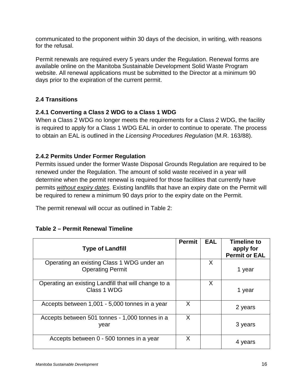communicated to the proponent within 30 days of the decision, in writing, with reasons for the refusal.

Permit renewals are required every 5 years under the Regulation. Renewal forms are available online on the Manitoba Sustainable Development Solid Waste Program website. All renewal applications must be submitted to the Director at a minimum 90 days prior to the expiration of the current permit.

# <span id="page-15-0"></span>**2.4 Transitions**

#### <span id="page-15-1"></span>**2.4.1 Converting a Class 2 WDG to a Class 1 WDG**

When a Class 2 WDG no longer meets the requirements for a Class 2 WDG, the facility is required to apply for a Class 1 WDG EAL in order to continue to operate. The process to obtain an EAL is outlined in the *Licensing Procedures Regulation* (M.R. 163/88).

#### <span id="page-15-2"></span>**2.4.2 Permits Under Former Regulation**

Permits issued under the former Waste Disposal Grounds Regulation are required to be renewed under the Regulation. The amount of solid waste received in a year will determine when the permit renewal is required for those facilities that currently have permits *without expiry dates*. Existing landfills that have an expiry date on the Permit will be required to renew a minimum 90 days prior to the expiry date on the Permit.

The permit renewal will occur as outlined in Table 2:

| <b>Type of Landfill</b>                                               | <b>Permit</b> | <b>EAL</b> | <b>Timeline to</b><br>apply for<br><b>Permit or EAL</b> |
|-----------------------------------------------------------------------|---------------|------------|---------------------------------------------------------|
| Operating an existing Class 1 WDG under an<br><b>Operating Permit</b> |               | X          | 1 year                                                  |
| Operating an existing Landfill that will change to a<br>Class 1 WDG   |               | X          | 1 year                                                  |
| Accepts between 1,001 - 5,000 tonnes in a year                        | X             |            | 2 years                                                 |
| Accepts between 501 tonnes - 1,000 tonnes in a<br>year                | X             |            | 3 years                                                 |
| Accepts between 0 - 500 tonnes in a year                              | X             |            | 4 years                                                 |

#### **Table 2 – Permit Renewal Timeline**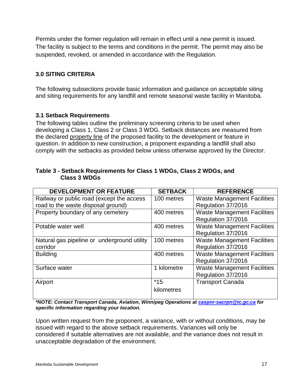Permits under the former regulation will remain in effect until a new permit is issued. The facility is subject to the terms and conditions in the permit. The permit may also be suspended, revoked, or amended in accordance with the Regulation.

# <span id="page-16-0"></span>**3.0 SITING CRITERIA**

The following subsections provide basic information and guidance on acceptable siting and siting requirements for any landfill and remote seasonal waste facility in Manitoba.

#### <span id="page-16-1"></span>**3.1 Setback Requirements**

The following tables outline the preliminary screening criteria to be used when developing a Class 1, Class 2 or Class 3 WDG. Setback distances are measured from the declared property line of the proposed facility to the development or feature in question. In addition to new construction, a proponent expanding a landfill shall also comply with the setbacks as provided below unless otherwise approved by the Director.

| <b>DEVELOPMENT OR FEATURE</b>               | <b>SETBACK</b> | <b>REFERENCE</b>                   |
|---------------------------------------------|----------------|------------------------------------|
| Railway or public road (except the access   | 100 metres     | <b>Waste Management Facilities</b> |
| road to the waste disposal ground)          |                | Regulation 37/2016                 |
| Property boundary of any cemetery           | 400 metres     | <b>Waste Management Facilities</b> |
|                                             |                | Regulation 37/2016                 |
| Potable water well                          | 400 metres     | <b>Waste Management Facilities</b> |
|                                             |                | Regulation 37/2016                 |
| Natural gas pipeline or underground utility | 100 metres     | <b>Waste Management Facilities</b> |
| corridor                                    |                | Regulation 37/2016                 |
| <b>Building</b>                             | 400 metres     | <b>Waste Management Facilities</b> |
|                                             |                | Regulation 37/2016                 |
| Surface water                               | 1 kilometre    | <b>Waste Management Facilities</b> |
|                                             |                | Regulation 37/2016                 |
| Airport                                     | $*15$          | <b>Transport Canada</b>            |
|                                             | kilometres     |                                    |
|                                             |                |                                    |

#### **Table 3 - Setback Requirements for Class 1 WDGs, Class 2 WDGs, and Class 3 WDGs**

*\*NOTE: Contact Transport Canada, Aviation, Winnipeg Operations at [caspnr-sacrpn@tc.gc.ca](mailto:caspnr-sacrpn@tc.gc.ca) for specific information regarding your location.*

Upon written request from the proponent, a variance, with or without conditions, may be issued with regard to the above setback requirements. Variances will only be considered if suitable alternatives are not available, and the variance does not result in unacceptable degradation of the environment.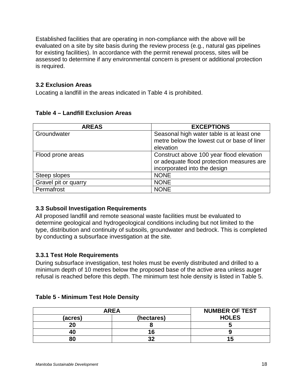Established facilities that are operating in non-compliance with the above will be evaluated on a site by site basis during the review process (e.g., natural gas pipelines for existing facilities). In accordance with the permit renewal process, sites will be assessed to determine if any environmental concern is present or additional protection is required.

#### <span id="page-17-0"></span>**3.2 Exclusion Areas**

Locating a landfill in the areas indicated in Table 4 is prohibited.

| <b>AREAS</b>         | <b>EXCEPTIONS</b>                                                                                                     |
|----------------------|-----------------------------------------------------------------------------------------------------------------------|
| Groundwater          | Seasonal high water table is at least one<br>metre below the lowest cut or base of liner<br>elevation                 |
| Flood prone areas    | Construct above 100 year flood elevation<br>or adequate flood protection measures are<br>incorporated into the design |
| Steep slopes         | <b>NONE</b>                                                                                                           |
| Gravel pit or quarry | <b>NONE</b>                                                                                                           |
| Permafrost           | <b>NONE</b>                                                                                                           |

#### **Table 4 – Landfill Exclusion Areas**

# <span id="page-17-1"></span>**3.3 Subsoil Investigation Requirements**

All proposed landfill and remote seasonal waste facilities must be evaluated to determine geological and hydrogeological conditions including but not limited to the type, distribution and continuity of subsoils, groundwater and bedrock. This is completed by conducting a subsurface investigation at the site.

# <span id="page-17-2"></span>**3.3.1 Test Hole Requirements**

During subsurface investigation, test holes must be evenly distributed and drilled to a minimum depth of 10 metres below the proposed base of the active area unless auger refusal is reached before this depth. The minimum test hole density is listed in Table 5.

#### **Table 5 - Minimum Test Hole Density**

| <b>AREA</b> |            | <b>NUMBER OF TEST</b> |
|-------------|------------|-----------------------|
| (acres)     | (hectares) | <b>HOLES</b>          |
| 20          |            |                       |
| 40          | 16         |                       |
| 80          | ົ          | ĸ                     |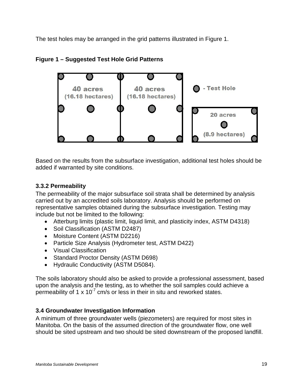The test holes may be arranged in the grid patterns illustrated in Figure 1.





Based on the results from the subsurface investigation, additional test holes should be added if warranted by site conditions.

# <span id="page-18-0"></span>**3.3.2 Permeability**

The permeability of the major subsurface soil strata shall be determined by analysis carried out by an accredited soils laboratory. Analysis should be performed on representative samples obtained during the subsurface investigation. Testing may include but not be limited to the following:

- Atterburg limits (plastic limit, liquid limit, and plasticity index, ASTM D4318)
- Soil Classification (ASTM D2487)
- Moisture Content (ASTM D2216)
- Particle Size Analysis (Hydrometer test, ASTM D422)
- Visual Classification
- Standard Proctor Density (ASTM D698)
- Hydraulic Conductivity (ASTM D5084).

The soils laboratory should also be asked to provide a professional assessment, based upon the analysis and the testing, as to whether the soil samples could achieve a permeability of 1 x 10<sup>-7</sup> cm/s or less in their in situ and reworked states.

#### <span id="page-18-1"></span>**3.4 Groundwater Investigation Information**

A minimum of three groundwater wells (piezometers) are required for most sites in Manitoba. On the basis of the assumed direction of the groundwater flow, one well should be sited upstream and two should be sited downstream of the proposed landfill.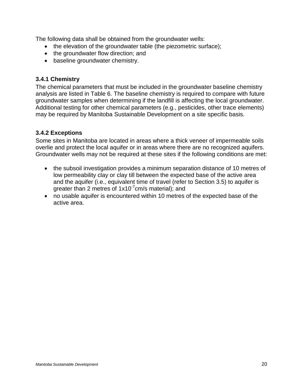The following data shall be obtained from the groundwater wells:

- the elevation of the groundwater table (the piezometric surface);
- the groundwater flow direction; and
- baseline groundwater chemistry.

#### <span id="page-19-0"></span>**3.4.1 Chemistry**

The chemical parameters that must be included in the groundwater baseline chemistry analysis are listed in Table 6. The baseline chemistry is required to compare with future groundwater samples when determining if the landfill is affecting the local groundwater. Additional testing for other chemical parameters (e.g., pesticides, other trace elements) may be required by Manitoba Sustainable Development on a site specific basis.

# <span id="page-19-1"></span>**3.4.2 Exceptions**

Some sites in Manitoba are located in areas where a thick veneer of impermeable soils overlie and protect the local aquifer or in areas where there are no recognized aquifers. Groundwater wells may not be required at these sites if the following conditions are met:

- the subsoil investigation provides a minimum separation distance of 10 metres of low permeability clay or clay till between the expected base of the active area and the aquifer (i.e., equivalent time of travel (refer to Section 3.5) to aquifer is greater than 2 metres of 1x10<sup>-7</sup>cm/s material); and
- no usable aquifer is encountered within 10 metres of the expected base of the active area.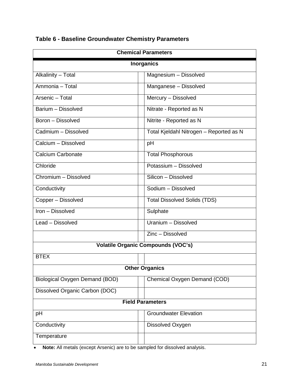| <b>Chemical Parameters</b>     |                                           |  |  |
|--------------------------------|-------------------------------------------|--|--|
| <b>Inorganics</b>              |                                           |  |  |
| Alkalinity - Total             | Magnesium - Dissolved                     |  |  |
| Ammonia - Total                | Manganese - Dissolved                     |  |  |
| Arsenic - Total                | Mercury - Dissolved                       |  |  |
| Barium - Dissolved             | Nitrate - Reported as N                   |  |  |
| Boron - Dissolved              | Nitrite - Reported as N                   |  |  |
| Cadmium - Dissolved            | Total Kjeldahl Nitrogen - Reported as N   |  |  |
| Calcium - Dissolved            | pH                                        |  |  |
| <b>Calcium Carbonate</b>       | <b>Total Phosphorous</b>                  |  |  |
| Chloride                       | Potassium - Dissolved                     |  |  |
| Chromium - Dissolved           | Silicon - Dissolved                       |  |  |
| Conductivity                   | Sodium - Dissolved                        |  |  |
| Copper - Dissolved             | <b>Total Dissolved Solids (TDS)</b>       |  |  |
| Iron - Dissolved               | Sulphate                                  |  |  |
| Lead - Dissolved               | Uranium - Dissolved                       |  |  |
| Zinc - Dissolved               |                                           |  |  |
|                                | <b>Volatile Organic Compounds (VOC's)</b> |  |  |
| <b>BTEX</b>                    |                                           |  |  |
| <b>Other Organics</b>          |                                           |  |  |
| Biological Oxygen Demand (BOD) | Chemical Oxygen Demand (COD)              |  |  |
| Dissolved Organic Carbon (DOC) |                                           |  |  |
| <b>Field Parameters</b>        |                                           |  |  |
| pH                             | <b>Groundwater Elevation</b>              |  |  |
| Conductivity                   | Dissolved Oxygen                          |  |  |
| Temperature                    |                                           |  |  |

# **Table 6 - Baseline Groundwater Chemistry Parameters**

• **Note:** All metals (except Arsenic) are to be sampled for dissolved analysis.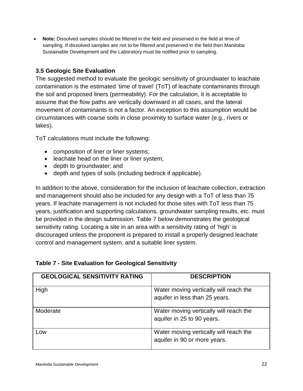• **Note:** Dissolved samples should be filtered in the field and preserved in the field at time of sampling. If dissolved samples are not to be filtered and preserved in the field then Manitoba Sustainable Development and the Laboratory must be notified prior to sampling.

# <span id="page-21-0"></span>**3.5 Geologic Site Evaluation**

The suggested method to evaluate the geologic sensitivity of groundwater to leachate contamination is the estimated 'time of travel' (ToT) of leachate contaminants through the soil and proposed liners (permeability). For the calculation, it is acceptable to assume that the flow paths are vertically downward in all cases, and the lateral movement of contaminants is not a factor. An exception to this assumption would be circumstances with coarse soils in close proximity to surface water (e.g., rivers or lakes).

ToT calculations must include the following:

- composition of liner or liner systems;
- leachate head on the liner or liner system;
- depth to groundwater; and
- depth and types of soils (including bedrock if applicable).

In addition to the above, consideration for the inclusion of leachate collection, extraction and management should also be included for any design with a ToT of less than 75 years. If leachate management is not included for those sites with ToT less than 75 years, justification and supporting calculations, groundwater sampling results, etc. must be provided in the design submission. Table 7 below demonstrates the geological sensitivity rating. Locating a site in an area with a sensitivity rating of 'high' is discouraged unless the proponent is prepared to install a properly designed leachate control and management system, and a suitable liner system.

| <b>Table 7 - Site Evaluation for Geological Sensitivity</b> |  |
|-------------------------------------------------------------|--|
|-------------------------------------------------------------|--|

| <b>GEOLOGICAL SENSITIVITY RATING</b> | <b>DESCRIPTION</b>                                                       |
|--------------------------------------|--------------------------------------------------------------------------|
| High                                 | Water moving vertically will reach the<br>aquifer in less than 25 years. |
| Moderate                             | Water moving vertically will reach the<br>aquifer in 25 to 90 years.     |
| Low                                  | Water moving vertically will reach the<br>aquifer in 90 or more years.   |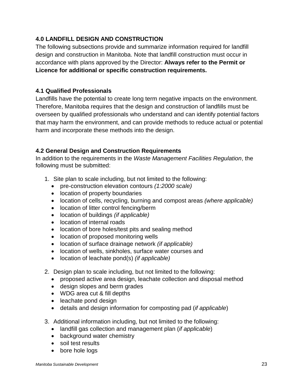# <span id="page-22-0"></span>**4.0 LANDFILL DESIGN AND CONSTRUCTION**

The following subsections provide and summarize information required for landfill design and construction in Manitoba. Note that landfill construction must occur in accordance with plans approved by the Director: **Always refer to the Permit or Licence for additional or specific construction requirements.**

## <span id="page-22-1"></span>**4.1 Qualified Professionals**

Landfills have the potential to create long term negative impacts on the environment. Therefore, Manitoba requires that the design and construction of landfills must be overseen by qualified professionals who understand and can identify potential factors that may harm the environment, and can provide methods to reduce actual or potential harm and incorporate these methods into the design.

# <span id="page-22-2"></span>**4.2 General Design and Construction Requirements**

In addition to the requirements in the *Waste Management Facilities Regulation*, the following must be submitted:

- 1. Site plan to scale including, but not limited to the following:
	- pre-construction elevation contours *(1:2000 scale)*
	- location of property boundaries
	- location of cells, recycling, burning and compost areas *(where applicable)*
	- location of litter control fencing/berm
	- location of buildings *(if applicable)*
	- location of internal roads
	- location of bore holes/test pits and sealing method
	- location of proposed monitoring wells
	- location of surface drainage network *(if applicable)*
	- location of wells, sinkholes, surface water courses and
	- location of leachate pond(s) *(if applicable)*
- 2. Design plan to scale including, but not limited to the following:
	- proposed active area design, leachate collection and disposal method
	- design slopes and berm grades
	- WDG area cut & fill depths
	- leachate pond design
	- details and design information for composting pad (*if applicable*)
- 3. Additional information including, but not limited to the following:
	- landfill gas collection and management plan (*if applicable*)
	- background water chemistry
	- soil test results
	- bore hole logs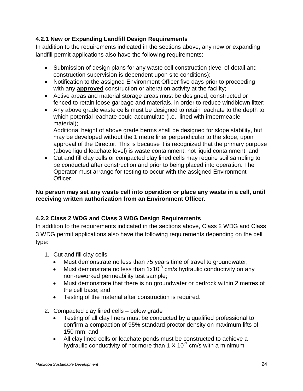# <span id="page-23-0"></span>**4.2.1 New or Expanding Landfill Design Requirements**

In addition to the requirements indicated in the sections above, any new or expanding landfill permit applications also have the following requirements:

- Submission of design plans for any waste cell construction (level of detail and construction supervision is dependent upon site conditions);
- Notification to the assigned Environment Officer five days prior to proceeding with any **approved** construction or alteration activity at the facility;
- Active areas and material storage areas must be designed, constructed or fenced to retain loose garbage and materials, in order to reduce windblown litter;
- Any above grade waste cells must be designed to retain leachate to the depth to which potential leachate could accumulate (i.e., lined with impermeable material);

Additional height of above grade berms shall be designed for slope stability, but may be developed without the 1 metre liner perpendicular to the slope, upon approval of the Director. This is because it is recognized that the primary purpose (above liquid leachate level) is waste containment, not liquid containment; and

• Cut and fill clay cells or compacted clay lined cells may require soil sampling to be conducted after construction and prior to being placed into operation. The Operator must arrange for testing to occur with the assigned Environment Officer.

## **No person may set any waste cell into operation or place any waste in a cell, until receiving written authorization from an Environment Officer.**

# <span id="page-23-1"></span>**4.2.2 Class 2 WDG and Class 3 WDG Design Requirements**

In addition to the requirements indicated in the sections above, Class 2 WDG and Class 3 WDG permit applications also have the following requirements depending on the cell type:

- 1. Cut and fill clay cells
	- Must demonstrate no less than 75 years time of travel to groundwater;
	- Must demonstrate no less than  $1x10^{-8}$  cm/s hydraulic conductivity on any non-reworked permeability test sample;
	- Must demonstrate that there is no groundwater or bedrock within 2 metres of the cell base; and
	- Testing of the material after construction is required.
- 2. Compacted clay lined cells below grade
	- Testing of all clay liners must be conducted by a qualified professional to confirm a compaction of 95% standard proctor density on maximum lifts of 150 mm; and
	- All clay lined cells or leachate ponds must be constructed to achieve a hydraulic conductivity of not more than  $1 \times 10^{-7}$  cm/s with a minimum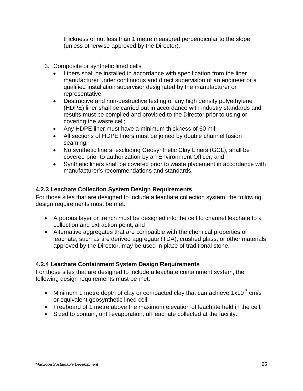thickness of not less than 1 metre measured perpendicular to the slope (unless otherwise approved by the Director).

- 3. Composite or synthetic lined cells
	- Liners shall be installed in accordance with specification from the liner manufacturer under continuous and direct supervision of an engineer or a qualified installation supervisor designated by the manufacturer or representative;
	- Destructive and non-destructive testing of any high density polyethylene (HDPE) liner shall be carried out in accordance with industry standards and results must be compiled and provided to the Director prior to using or covering the waste cell;
	- Any HDPE liner must have a minimum thickness of 60 mil;
	- All sections of HDPE liners must be joined by double channel fusion seaming;
	- No synthetic liners, excluding Geosynthetic Clay Liners (GCL), shall be covered prior to authorization by an Environment Officer; and
	- Synthetic liners shall be covered prior to waste placement in accordance with manufacturer's recommendations and standards.

# <span id="page-24-0"></span>**4.2.3 Leachate Collection System Design Requirements**

For those sites that are designed to include a leachate collection system, the following design requirements must be met:

- A porous layer or trench must be designed into the cell to channel leachate to a collection and extraction point; and
- Alternative aggregates that are compatible with the chemical properties of leachate, such as tire derived aggregate (TDA), crushed glass, or other materials approved by the Director, may be used in place of traditional stone.

# <span id="page-24-1"></span>**4.2.4 Leachate Containment System Design Requirements**

For those sites that are designed to include a leachate containment system, the following design requirements must be met:

- Minimum 1 metre depth of clay or compacted clay that can achieve  $1x10^{-7}$  cm/s or equivalent geosynthetic lined cell;
- Freeboard of 1 metre above the maximum elevation of leachate held in the cell;
- Sized to contain, until evaporation, all leachate collected at the facility.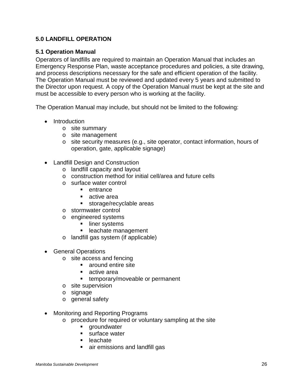# <span id="page-25-0"></span>**5.0 LANDFILL OPERATION**

#### <span id="page-25-1"></span>**5.1 Operation Manual**

Operators of landfills are required to maintain an Operation Manual that includes an Emergency Response Plan, waste acceptance procedures and policies, a site drawing, and process descriptions necessary for the safe and efficient operation of the facility. The Operation Manual must be reviewed and updated every 5 years and submitted to the Director upon request. A copy of the Operation Manual must be kept at the site and must be accessible to every person who is working at the facility.

The Operation Manual may include, but should not be limited to the following:

- Introduction
	- o site summary
	- o site management
	- $\circ$  site security measures (e.g., site operator, contact information, hours of operation, gate, applicable signage)
- Landfill Design and Construction
	- o landfill capacity and layout
	- o construction method for initial cell/area and future cells
	- o surface water control
		- **•** entrance
		- active area
		- **storage/recyclable areas**
	- o stormwater control
	- o engineered systems
		- **If** liner systems
		- **Exercise** management
	- o landfill gas system (if applicable)
- General Operations
	- o site access and fencing
		- around entire site
		- active area
		- **EXECUTE:** temporary/moveable or permanent
	- o site supervision
	- o signage
	- o general safety
- Monitoring and Reporting Programs
	- o procedure for required or voluntary sampling at the site<br>
	qroundwater
		- groundwater
		- **surface water**
		- leachate
		- air emissions and landfill gas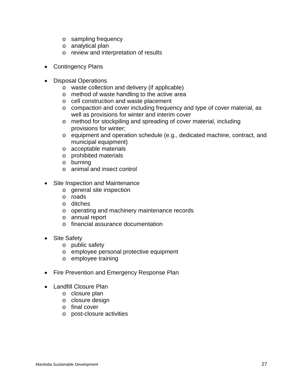- o sampling frequency
- o analytical plan
- o review and interpretation of results
- Contingency Plans
- Disposal Operations
	- o waste collection and delivery (if applicable)
	- o method of waste handling to the active area
	- o cell construction and waste placement
	- o compaction and cover including frequency and type of cover material, as well as provisions for winter and interim cover
	- o method for stockpiling and spreading of cover material, including provisions for winter;
	- o equipment and operation schedule (e.g., dedicated machine, contract, and municipal equipment)
	- o acceptable materials
	- o prohibited materials
	- o burning
	- o animal and insect control
- Site Inspection and Maintenance
	- o general site inspection
	- o roads
	- o ditches
	- o operating and machinery maintenance records
	- o annual report
	- o financial assurance documentation
- Site Safety
	- o public safety
	- o employee personal protective equipment
	- o employee training
- Fire Prevention and Emergency Response Plan
- Landfill Closure Plan
	- o closure plan
	- o closure design
	- o final cover
	- o post-closure activities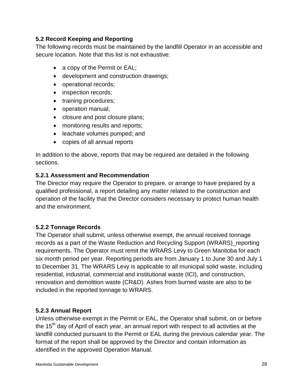## <span id="page-27-0"></span>**5.2 Record Keeping and Reporting**

The following records must be maintained by the landfill Operator in an accessible and secure location. Note that this list is not exhaustive:

- a copy of the Permit or EAL;
- development and construction drawings;
- operational records;
- inspection records;
- training procedures;
- operation manual;
- closure and post closure plans;
- monitoring results and reports;
- leachate volumes pumped; and
- copies of all annual reports

In addition to the above, reports that may be required are detailed in the following sections.

# <span id="page-27-1"></span>**5.2.1 Assessment and Recommendation**

The Director may require the Operator to prepare, or arrange to have prepared by a qualified professional, a report detailing any matter related to the construction and operation of the facility that the Director considers necessary to protect human health and the environment.

# <span id="page-27-2"></span>**5.2.2 Tonnage Records**

The Operator shall submit, unless otherwise exempt, the annual received tonnage records as a part of the Waste Reduction and Recycling Support (WRARS)\_reporting requirements. The Operator must remit the WRARS Levy to Green Manitoba for each six month period per year. Reporting periods are from January 1 to June 30 and July 1 to December 31. The WRARS Levy is applicable to all municipal solid waste, including residential, industrial, commercial and institutional waste (ICI), and construction, renovation and demolition waste (CR&D). Ashes from burned waste are also to be included in the reported tonnage to WRARS.

# <span id="page-27-3"></span>**5.2.3 Annual Report**

Unless otherwise exempt in the Permit or EAL, the Operator shall submit, on or before the  $15<sup>th</sup>$  day of April of each year, an annual report with respect to all activities at the landfill conducted pursuant to the Permit or EAL during the previous calendar year. The format of the report shall be approved by the Director and contain information as identified in the approved Operation Manual.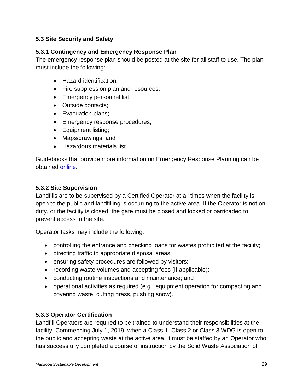# <span id="page-28-0"></span>**5.3 Site Security and Safety**

# <span id="page-28-1"></span>**5.3.1 Contingency and Emergency Response Plan**

The emergency response plan should be posted at the site for all staff to use. The plan must include the following:

- Hazard identification;
- Fire suppression plan and resources;
- Emergency personnel list;
- Outside contacts;
- Evacuation plans;
- Emergency response procedures;
- Equipment listing;
- Maps/drawings; and
- Hazardous materials list.

Guidebooks that provide more information on Emergency Response Planning can be obtained [online](http://www.ccohs.ca/products/publications/emergency.html).

# <span id="page-28-2"></span>**5.3.2 Site Supervision**

Landfills are to be supervised by a Certified Operator at all times when the facility is open to the public and landfilling is occurring to the active area. If the Operator is not on duty, or the facility is closed, the gate must be closed and locked or barricaded to prevent access to the site.

Operator tasks may include the following:

- controlling the entrance and checking loads for wastes prohibited at the facility;
- directing traffic to appropriate disposal areas;
- ensuring safety procedures are followed by visitors;
- recording waste volumes and accepting fees (if applicable);
- conducting routine inspections and maintenance; and
- operational activities as required (e.g., equipment operation for compacting and covering waste, cutting grass, pushing snow).

# <span id="page-28-3"></span>**5.3.3 Operator Certification**

Landfill Operators are required to be trained to understand their responsibilities at the facility. Commencing July 1, 2019, when a Class 1, Class 2 or Class 3 WDG is open to the public and accepting waste at the active area, it must be staffed by an Operator who has successfully completed a course of instruction by the Solid Waste Association of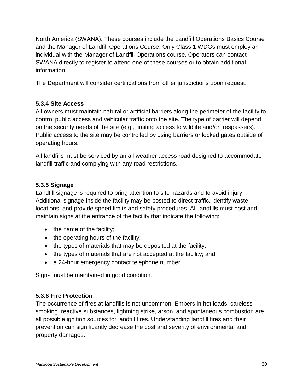North America (SWANA). These courses include the Landfill Operations Basics Course and the Manager of Landfill Operations Course. Only Class 1 WDGs must employ an individual with the Manager of Landfill Operations course. Operators can contact SWANA directly to register to attend one of these courses or to obtain additional information.

The Department will consider certifications from other jurisdictions upon request.

# <span id="page-29-0"></span>**5.3.4 Site Access**

All owners must maintain natural or artificial barriers along the perimeter of the facility to control public access and vehicular traffic onto the site. The type of barrier will depend on the security needs of the site (e.g., limiting access to wildlife and/or trespassers). Public access to the site may be controlled by using barriers or locked gates outside of operating hours.

All landfills must be serviced by an all weather access road designed to accommodate landfill traffic and complying with any road restrictions.

#### <span id="page-29-1"></span>**5.3.5 Signage**

Landfill signage is required to bring attention to site hazards and to avoid injury. Additional signage inside the facility may be posted to direct traffic, identify waste locations, and provide speed limits and safety procedures. All landfills must post and maintain signs at the entrance of the facility that indicate the following:

- the name of the facility;
- the operating hours of the facility;
- the types of materials that may be deposited at the facility;
- the types of materials that are not accepted at the facility; and
- a 24-hour emergency contact telephone number.

Signs must be maintained in good condition.

#### <span id="page-29-2"></span>**5.3.6 Fire Protection**

The occurrence of fires at landfills is not uncommon. Embers in hot loads, careless smoking, reactive substances, lightning strike, arson, and spontaneous combustion are all possible ignition sources for landfill fires. Understanding landfill fires and their prevention can significantly decrease the cost and severity of environmental and property damages.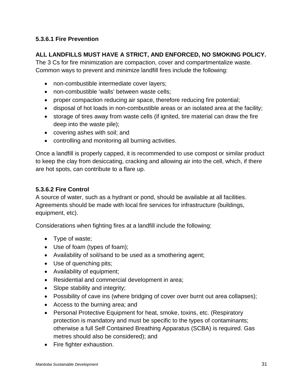# <span id="page-30-0"></span>**5.3.6.1 Fire Prevention**

# **ALL LANDFILLS MUST HAVE A STRICT, AND ENFORCED, NO SMOKING POLICY.**

The 3 Cs for fire minimization are compaction, cover and compartmentalize waste. Common ways to prevent and minimize landfill fires include the following:

- non-combustible intermediate cover layers;
- non-combustible 'walls' between waste cells;
- proper compaction reducing air space, therefore reducing fire potential;
- disposal of hot loads in non-combustible areas or an isolated area at the facility;
- storage of tires away from waste cells (if ignited, tire material can draw the fire deep into the waste pile);
- covering ashes with soil; and
- controlling and monitoring all burning activities.

Once a landfill is properly capped, it is recommended to use compost or similar product to keep the clay from desiccating, cracking and allowing air into the cell, which, if there are hot spots, can contribute to a flare up.

#### <span id="page-30-1"></span>**5.3.6.2 Fire Control**

A source of water, such as a hydrant or pond, should be available at all facilities. Agreements should be made with local fire services for infrastructure (buildings, equipment, etc).

Considerations when fighting fires at a landfill include the following:

- Type of waste;
- Use of foam (types of foam);
- Availability of soil/sand to be used as a smothering agent;
- Use of quenching pits;
- Availability of equipment;
- Residential and commercial development in area;
- Slope stability and integrity;
- Possibility of cave ins (where bridging of cover over burnt out area collapses);
- Access to the burning area; and
- Personal Protective Equipment for heat, smoke, toxins, etc. (Respiratory protection is mandatory and must be specific to the types of contaminants; otherwise a full Self Contained Breathing Apparatus (SCBA) is required. Gas metres should also be considered); and
- Fire fighter exhaustion.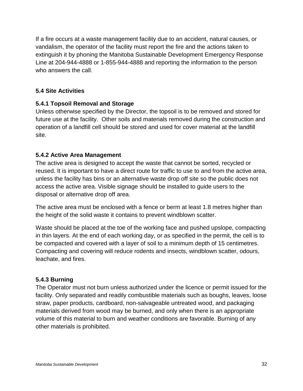If a fire occurs at a waste management facility due to an accident, natural causes, or vandalism, the operator of the facility must report the fire and the actions taken to extinguish it by phoning the Manitoba Sustainable Development Emergency Response Line at 204-944-4888 or 1-855-944-4888 and reporting the information to the person who answers the call.

# <span id="page-31-0"></span>**5.4 Site Activities**

#### <span id="page-31-1"></span>**5.4.1 Topsoil Removal and Storage**

Unless otherwise specified by the Director, the topsoil is to be removed and stored for future use at the facility. Other soils and materials removed during the construction and operation of a landfill cell should be stored and used for cover material at the landfill site.

#### <span id="page-31-2"></span>**5.4.2 Active Area Management**

The active area is designed to accept the waste that cannot be sorted, recycled or reused. It is important to have a direct route for traffic to use to and from the active area, unless the facility has bins or an alternative waste drop off site so the public does not access the active area. Visible signage should be installed to guide users to the disposal or alternative drop off area.

The active area must be enclosed with a fence or berm at least 1.8 metres higher than the height of the solid waste it contains to prevent windblown scatter.

Waste should be placed at the toe of the working face and pushed upslope, compacting in thin layers. At the end of each working day, or as specified in the permit, the cell is to be compacted and covered with a layer of soil to a minimum depth of 15 centimetres. Compacting and covering will reduce rodents and insects, windblown scatter, odours, leachate, and fires.

#### <span id="page-31-3"></span>**5.4.3 Burning**

The Operator must not burn unless authorized under the licence or permit issued for the facility. Only separated and readily combustible materials such as boughs, leaves, loose straw, paper products, cardboard, non-salvageable untreated wood, and packaging materials derived from wood may be burned, and only when there is an appropriate volume of this material to burn and weather conditions are favorable. Burning of any other materials is prohibited.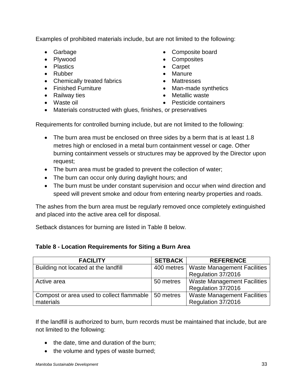Examples of prohibited materials include, but are not limited to the following:

- 
- 
- Plastics Carpet
- 
- Chemically treated fabrics Mattresses
- 
- 
- 
- Garbage Composite board
- Plywood Composites
	-
- Rubber Manure
	-
- Finished Furniture Man-made synthetics
- Railway ties Metallic waste
- Waste oil  **Pesticide containers**
- Materials constructed with glues, finishes, or preservatives

Requirements for controlled burning include, but are not limited to the following:

- The burn area must be enclosed on three sides by a berm that is at least 1.8 metres high or enclosed in a metal burn containment vessel or cage. Other burning containment vessels or structures may be approved by the Director upon request;
- The burn area must be graded to prevent the collection of water;
- The burn can occur only during daylight hours; and
- The burn must be under constant supervision and occur when wind direction and speed will prevent smoke and odour from entering nearby properties and roads.

The ashes from the burn area must be regularly removed once completely extinguished and placed into the active area cell for disposal.

Setback distances for burning are listed in Table 8 below.

#### **Table 8 - Location Requirements for Siting a Burn Area**

| <b>FACILITY</b>                                       | <b>SETBACK</b> | <b>REFERENCE</b>                   |
|-------------------------------------------------------|----------------|------------------------------------|
| Building not located at the landfill                  | 400 metres     | <b>Waste Management Facilities</b> |
|                                                       |                | Regulation 37/2016                 |
| Active area                                           | 50 metres      | <b>Waste Management Facilities</b> |
|                                                       |                | Regulation 37/2016                 |
| Compost or area used to collect flammable   50 metres |                | <b>Waste Management Facilities</b> |
| materials                                             |                | Regulation 37/2016                 |

If the landfill is authorized to burn, burn records must be maintained that include, but are not limited to the following:

- the date, time and duration of the burn;
- the volume and types of waste burned;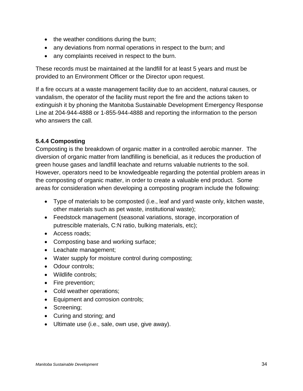- the weather conditions during the burn;
- any deviations from normal operations in respect to the burn; and
- any complaints received in respect to the burn.

These records must be maintained at the landfill for at least 5 years and must be provided to an Environment Officer or the Director upon request.

If a fire occurs at a waste management facility due to an accident, natural causes, or vandalism, the operator of the facility must report the fire and the actions taken to extinguish it by phoning the Manitoba Sustainable Development Emergency Response Line at 204-944-4888 or 1-855-944-4888 and reporting the information to the person who answers the call.

# <span id="page-33-0"></span>**5.4.4 Composting**

Composting is the breakdown of organic matter in a controlled aerobic manner. The diversion of organic matter from landfilling is beneficial, as it reduces the production of green house gases and landfill leachate and returns valuable nutrients to the soil. However, operators need to be knowledgeable regarding the potential problem areas in the composting of organic matter, in order to create a valuable end product. Some areas for consideration when developing a composting program include the following:

- Type of materials to be composted (i.e., leaf and yard waste only, kitchen waste, other materials such as pet waste, institutional waste);
- Feedstock management (seasonal variations, storage, incorporation of putrescible materials, C:N ratio, bulking materials, etc);
- Access roads;
- Composting base and working surface;
- Leachate management;
- Water supply for moisture control during composting;
- Odour controls;
- Wildlife controls;
- Fire prevention;
- Cold weather operations;
- Equipment and corrosion controls;
- Screening;
- Curing and storing; and
- Ultimate use (i.e., sale, own use, give away).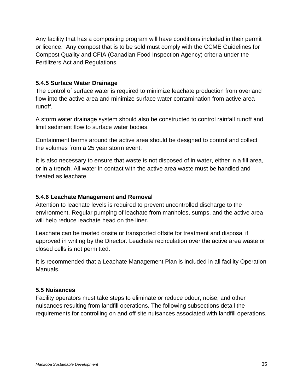Any facility that has a composting program will have conditions included in their permit or licence. Any compost that is to be sold must comply with the CCME Guidelines for Compost Quality and CFIA (Canadian Food Inspection Agency) criteria under the Fertilizers Act and Regulations.

# <span id="page-34-0"></span>**5.4.5 Surface Water Drainage**

The control of surface water is required to minimize leachate production from overland flow into the active area and minimize surface water contamination from active area runoff.

A storm water drainage system should also be constructed to control rainfall runoff and limit sediment flow to surface water bodies.

Containment berms around the active area should be designed to control and collect the volumes from a 25 year storm event.

It is also necessary to ensure that waste is not disposed of in water, either in a fill area, or in a trench. All water in contact with the active area waste must be handled and treated as leachate.

#### <span id="page-34-1"></span>**5.4.6 Leachate Management and Removal**

Attention to leachate levels is required to prevent uncontrolled discharge to the environment. Regular pumping of leachate from manholes, sumps, and the active area will help reduce leachate head on the liner.

Leachate can be treated onsite or transported offsite for treatment and disposal if approved in writing by the Director. Leachate recirculation over the active area waste or closed cells is not permitted.

It is recommended that a Leachate Management Plan is included in all facility Operation Manuals.

#### **5.5 Nuisances**

Facility operators must take steps to eliminate or reduce odour, noise, and other nuisances resulting from landfill operations. The following subsections detail the requirements for controlling on and off site nuisances associated with landfill operations.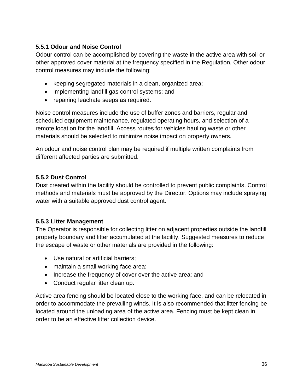# <span id="page-35-0"></span>**5.5.1 Odour and Noise Control**

Odour control can be accomplished by covering the waste in the active area with soil or other approved cover material at the frequency specified in the Regulation*.* Other odour control measures may include the following:

- keeping segregated materials in a clean, organized area;
- implementing landfill gas control systems; and
- repairing leachate seeps as required.

Noise control measures include the use of buffer zones and barriers, regular and scheduled equipment maintenance, regulated operating hours, and selection of a remote location for the landfill. Access routes for vehicles hauling waste or other materials should be selected to minimize noise impact on property owners.

An odour and noise control plan may be required if multiple written complaints from different affected parties are submitted.

# <span id="page-35-1"></span>**5.5.2 Dust Control**

Dust created within the facility should be controlled to prevent public complaints. Control methods and materials must be approved by the Director. Options may include spraying water with a suitable approved dust control agent.

# <span id="page-35-2"></span>**5.5.3 Litter Management**

The Operator is responsible for collecting litter on adjacent properties outside the landfill property boundary and litter accumulated at the facility. Suggested measures to reduce the escape of waste or other materials are provided in the following:

- Use natural or artificial barriers;
- maintain a small working face area;
- Increase the frequency of cover over the active area; and
- Conduct regular litter clean up.

Active area fencing should be located close to the working face, and can be relocated in order to accommodate the prevailing winds. It is also recommended that litter fencing be located around the unloading area of the active area. Fencing must be kept clean in order to be an effective litter collection device.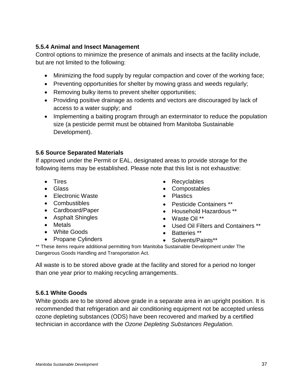# <span id="page-36-0"></span>**5.5.4 Animal and Insect Management**

Control options to minimize the presence of animals and insects at the facility include, but are not limited to the following:

- Minimizing the food supply by regular compaction and cover of the working face;
- Preventing opportunities for shelter by mowing grass and weeds regularly;
- Removing bulky items to prevent shelter opportunities;
- Providing positive drainage as rodents and vectors are discouraged by lack of access to a water supply; and
- Implementing a baiting program through an exterminator to reduce the population size (a pesticide permit must be obtained from Manitoba Sustainable Development).

# <span id="page-36-1"></span>**5.6 Source Separated Materials**

If approved under the Permit or EAL, designated areas to provide storage for the following items may be established. Please note that this list is not exhaustive:

- Tires
- Glass
- Electronic Waste
- Combustibles
- Cardboard/Paper
- Asphalt Shingles
- Metals
- White Goods
- Propane Cylinders
- Recyclables
- Compostables
- Plastics
- Pesticide Containers \*\*
- Household Hazardous \*\*
- Waste Oil \*\*
- Used Oil Filters and Containers \*\*
- Batteries \*\*
- Solvents/Paints\*\*

\*\* These items require additional permitting from Manitoba Sustainable Development under The Dangerous Goods Handling and Transportation Act.

All waste is to be stored above grade at the facility and stored for a period no longer than one year prior to making recycling arrangements.

# <span id="page-36-2"></span>**5.6.1 White Goods**

White goods are to be stored above grade in a separate area in an upright position. It is recommended that refrigeration and air conditioning equipment not be accepted unless ozone depleting substances (ODS) have been recovered and marked by a certified technician in accordance with the *Ozone Depleting Substances Regulation.*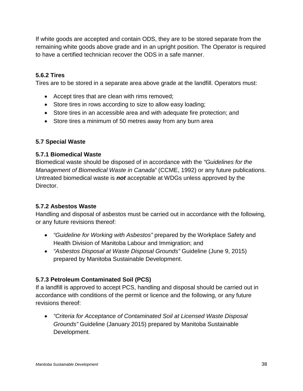If white goods are accepted and contain ODS, they are to be stored separate from the remaining white goods above grade and in an upright position. The Operator is required to have a certified technician recover the ODS in a safe manner.

# <span id="page-37-0"></span>**5.6.2 Tires**

Tires are to be stored in a separate area above grade at the landfill. Operators must:

- Accept tires that are clean with rims removed;
- Store tires in rows according to size to allow easy loading;
- Store tires in an accessible area and with adequate fire protection; and
- Store tires a minimum of 50 metres away from any burn area

# <span id="page-37-1"></span>**5.7 Special Waste**

# <span id="page-37-2"></span>**5.7.1 Biomedical Waste**

Biomedical waste should be disposed of in accordance with the *"Guidelines for the Management of Biomedical Waste in Canada"* (CCME, 1992) or any future publications. Untreated biomedical waste is *not* acceptable at WDGs unless approved by the Director.

# <span id="page-37-3"></span>**5.7.2 Asbestos Waste**

Handling and disposal of asbestos must be carried out in accordance with the following, or any future revisions thereof:

- *"Guideline for Working with Asbestos"* prepared by the Workplace Safety and Health Division of Manitoba Labour and Immigration; and
- *"Asbestos Disposal at Waste Disposal Grounds"* Guideline (June 9, 2015) prepared by Manitoba Sustainable Development.

# <span id="page-37-4"></span>**5.7.3 Petroleum Contaminated Soil (PCS)**

If a landfill is approved to accept PCS, handling and disposal should be carried out in accordance with conditions of the permit or licence and the following, or any future revisions thereof:

• *"Criteria for Acceptance of Contaminated Soil at Licensed Waste Disposal Grounds"* Guideline (January 2015) prepared by Manitoba Sustainable Development.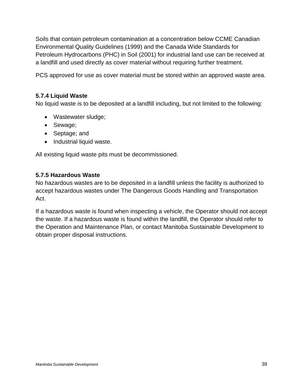Soils that contain petroleum contamination at a concentration below CCME Canadian Environmental Quality Guidelines (1999) and the Canada Wide Standards for Petroleum Hydrocarbons (PHC) in Soil (2001) for industrial land use can be received at a landfill and used directly as cover material without requiring further treatment.

PCS approved for use as cover material must be stored within an approved waste area.

### <span id="page-38-0"></span>**5.7.4 Liquid Waste**

No liquid waste is to be deposited at a landfill including, but not limited to the following:

- Wastewater sludge;
- Sewage;
- Septage; and
- Industrial liquid waste.

All existing liquid waste pits must be decommissioned.

#### <span id="page-38-1"></span>**5.7.5 Hazardous Waste**

No hazardous wastes are to be deposited in a landfill unless the facility is authorized to accept hazardous wastes under The Dangerous Goods Handling and Transportation Act.

If a hazardous waste is found when inspecting a vehicle, the Operator should not accept the waste. If a hazardous waste is found within the landfill, the Operator should refer to the Operation and Maintenance Plan, or contact Manitoba Sustainable Development to obtain proper disposal instructions.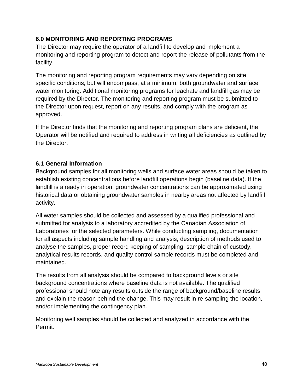# <span id="page-39-0"></span>**6.0 MONITORING AND REPORTING PROGRAMS**

The Director may require the operator of a landfill to develop and implement a monitoring and reporting program to detect and report the release of pollutants from the facility.

The monitoring and reporting program requirements may vary depending on site specific conditions, but will encompass, at a minimum, both groundwater and surface water monitoring. Additional monitoring programs for leachate and landfill gas may be required by the Director. The monitoring and reporting program must be submitted to the Director upon request, report on any results, and comply with the program as approved.

If the Director finds that the monitoring and reporting program plans are deficient, the Operator will be notified and required to address in writing all deficiencies as outlined by the Director.

# <span id="page-39-1"></span>**6.1 General Information**

Background samples for all monitoring wells and surface water areas should be taken to establish existing concentrations before landfill operations begin (baseline data). If the landfill is already in operation, groundwater concentrations can be approximated using historical data or obtaining groundwater samples in nearby areas not affected by landfill activity.

All water samples should be collected and assessed by a qualified professional and submitted for analysis to a laboratory accredited by the Canadian Association of Laboratories for the selected parameters. While conducting sampling, documentation for all aspects including sample handling and analysis, description of methods used to analyse the samples, proper record keeping of sampling, sample chain of custody, analytical results records, and quality control sample records must be completed and maintained.

The results from all analysis should be compared to background levels or site background concentrations where baseline data is not available. The qualified professional should note any results outside the range of background/baseline results and explain the reason behind the change. This may result in re-sampling the location, and/or implementing the contingency plan.

Monitoring well samples should be collected and analyzed in accordance with the Permit.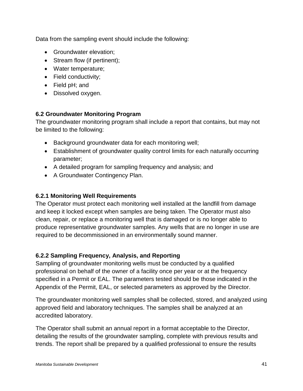Data from the sampling event should include the following:

- Groundwater elevation;
- Stream flow (if pertinent);
- Water temperature;
- Field conductivity;
- Field pH; and
- Dissolved oxygen.

# <span id="page-40-0"></span>**6.2 Groundwater Monitoring Program**

The groundwater monitoring program shall include a report that contains, but may not be limited to the following:

- Background groundwater data for each monitoring well;
- Establishment of groundwater quality control limits for each naturally occurring parameter;
- A detailed program for sampling frequency and analysis; and
- A Groundwater Contingency Plan.

## <span id="page-40-1"></span>**6.2.1 Monitoring Well Requirements**

The Operator must protect each monitoring well installed at the landfill from damage and keep it locked except when samples are being taken. The Operator must also clean, repair, or replace a monitoring well that is damaged or is no longer able to produce representative groundwater samples. Any wells that are no longer in use are required to be decommissioned in an environmentally sound manner.

# <span id="page-40-2"></span>**6.2.2 Sampling Frequency, Analysis, and Reporting**

Sampling of groundwater monitoring wells must be conducted by a qualified professional on behalf of the owner of a facility once per year or at the frequency specified in a Permit or EAL. The parameters tested should be those indicated in the Appendix of the Permit, EAL, or selected parameters as approved by the Director.

The groundwater monitoring well samples shall be collected, stored, and analyzed using approved field and laboratory techniques. The samples shall be analyzed at an accredited laboratory.

The Operator shall submit an annual report in a format acceptable to the Director, detailing the results of the groundwater sampling, complete with previous results and trends. The report shall be prepared by a qualified professional to ensure the results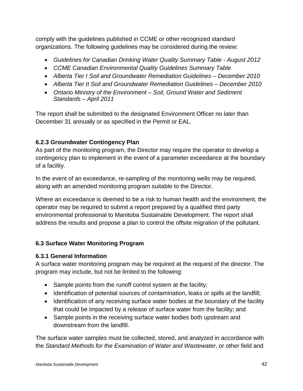comply with the guidelines published in CCME or other recognized standard organizations. The following guidelines may be considered during the review:

- *Guidelines for Canadian Drinking Water Quality Summary Table - August 2012*
- *CCME Canadian Environmental Quality Guidelines Summary Table*
- *Alberta Tier I Soil and Groundwater Remediation Guidelines – December 2010*
- *Alberta Tier II Soil and Groundwater Remediation Guidelines – December 2010*
- *Ontario Ministry of the Environment – Soil, Ground Water and Sediment Standards – April 2011*

The report shall be submitted to the designated Environment Officer no later than December 31 annually or as specified in the Permit or EAL.

# <span id="page-41-0"></span>**6.2.3 Groundwater Contingency Plan**

As part of the monitoring program, the Director may require the operator to develop a contingency plan to implement in the event of a parameter exceedance at the boundary of a facility.

In the event of an exceedance, re-sampling of the monitoring wells may be required, along with an amended monitoring program suitable to the Director.

Where an exceedance is deemed to be a risk to human health and the environment, the operator may be required to submit a report prepared by a qualified third party environmental professional to Manitoba Sustainable Development. The report shall address the results and propose a plan to control the offsite migration of the pollutant.

# <span id="page-41-1"></span>**6.3 Surface Water Monitoring Program**

# <span id="page-41-2"></span>**6.3.1 General Information**

A surface water monitoring program may be required at the request of the director. The program may include, but not be limited to the following:

- Sample points from the runoff control system at the facility;
- Identification of potential sources of contamination, leaks or spills at the landfill;
- Identification of any receiving surface water bodies at the boundary of the facility that could be impacted by a release of surface water from the facility; and
- Sample points in the receiving surface water bodies both upstream and downstream from the landfill.

The surface water samples must be collected, stored, and analyzed in accordance with the *Standard Methods for the Examination of Water and Wastewater*, or other field and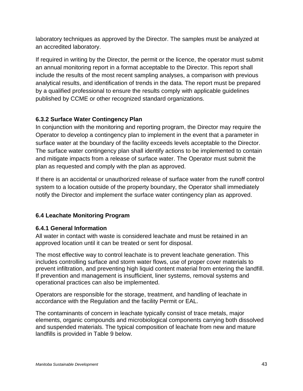laboratory techniques as approved by the Director. The samples must be analyzed at an accredited laboratory.

If required in writing by the Director, the permit or the licence, the operator must submit an annual monitoring report in a format acceptable to the Director. This report shall include the results of the most recent sampling analyses, a comparison with previous analytical results, and identification of trends in the data. The report must be prepared by a qualified professional to ensure the results comply with applicable guidelines published by CCME or other recognized standard organizations.

# <span id="page-42-0"></span>**6.3.2 Surface Water Contingency Plan**

In conjunction with the monitoring and reporting program, the Director may require the Operator to develop a contingency plan to implement in the event that a parameter in surface water at the boundary of the facility exceeds levels acceptable to the Director. The surface water contingency plan shall identify actions to be implemented to contain and mitigate impacts from a release of surface water. The Operator must submit the plan as requested and comply with the plan as approved.

If there is an accidental or unauthorized release of surface water from the runoff control system to a location outside of the property boundary, the Operator shall immediately notify the Director and implement the surface water contingency plan as approved.

# <span id="page-42-1"></span>**6.4 Leachate Monitoring Program**

# <span id="page-42-2"></span>**6.4.1 General Information**

All water in contact with waste is considered leachate and must be retained in an approved location until it can be treated or sent for disposal.

The most effective way to control leachate is to prevent leachate generation. This includes controlling surface and storm water flows, use of proper cover materials to prevent infiltration, and preventing high liquid content material from entering the landfill. If prevention and management is insufficient, liner systems, removal systems and operational practices can also be implemented.

Operators are responsible for the storage, treatment, and handling of leachate in accordance with the Regulation and the facility Permit or EAL.

The contaminants of concern in leachate typically consist of trace metals, major elements, organic compounds and microbiological components carrying both dissolved and suspended materials. The typical composition of leachate from new and mature landfills is provided in Table 9 below.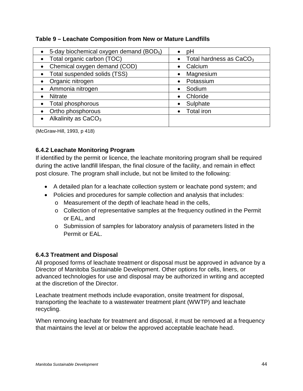| Table 9 - Leachate Composition from New or Mature Landfills |  |  |
|-------------------------------------------------------------|--|--|
|                                                             |  |  |

| 5-day biochemical oxygen demand (BOD <sub>5</sub> )<br>$\bullet$ | рH                                  |
|------------------------------------------------------------------|-------------------------------------|
| Total organic carbon (TOC)                                       | Total hardness as CaCO <sub>3</sub> |
| • Chemical oxygen demand (COD)                                   | Calcium                             |
| Total suspended solids (TSS)<br>$\bullet$                        | Magnesium                           |
| Organic nitrogen                                                 | Potassium                           |
| Ammonia nitrogen                                                 | Sodium                              |
| <b>Nitrate</b>                                                   | Chloride                            |
| Total phosphorous<br>$\bullet$                                   | Sulphate                            |
| Ortho phosphorous                                                | <b>Total iron</b>                   |
| Alkalinity as $CaCO3$                                            |                                     |
|                                                                  |                                     |

(McGraw-Hill, 1993, p 418)

# <span id="page-43-0"></span>**6.4.2 Leachate Monitoring Program**

If identified by the permit or licence, the leachate monitoring program shall be required during the active landfill lifespan, the final closure of the facility, and remain in effect post closure. The program shall include, but not be limited to the following:

- A detailed plan for a leachate collection system or leachate pond system; and
- Policies and procedures for sample collection and analysis that includes:
	- o Measurement of the depth of leachate head in the cells,
	- o Collection of representative samples at the frequency outlined in the Permit or EAL, and
	- o Submission of samples for laboratory analysis of parameters listed in the Permit or EAL.

# <span id="page-43-1"></span>**6.4.3 Treatment and Disposal**

All proposed forms of leachate treatment or disposal must be approved in advance by a Director of Manitoba Sustainable Development. Other options for cells, liners, or advanced technologies for use and disposal may be authorized in writing and accepted at the discretion of the Director.

Leachate treatment methods include evaporation, onsite treatment for disposal, transporting the leachate to a wastewater treatment plant (WWTP) and leachate recycling.

When removing leachate for treatment and disposal, it must be removed at a frequency that maintains the level at or below the approved acceptable leachate head.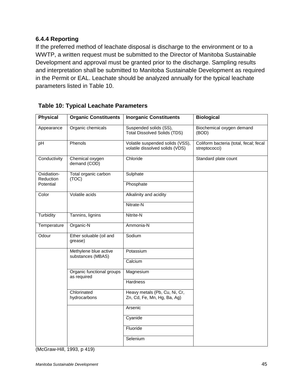# <span id="page-44-0"></span>**6.4.4 Reporting**

If the preferred method of leachate disposal is discharge to the environment or to a WWTP, a written request must be submitted to the Director of Manitoba Sustainable Development and approval must be granted prior to the discharge. Sampling results and interpretation shall be submitted to Manitoba Sustainable Development as required in the Permit or EAL. Leachate should be analyzed annually for the typical leachate parameters listed in Table 10.

| <b>Physical</b>          | <b>Organic Constituents</b>                | <b>Inorganic Constituents</b>                                       | <b>Biological</b>                                       |
|--------------------------|--------------------------------------------|---------------------------------------------------------------------|---------------------------------------------------------|
| Appearance               | Organic chemicals                          | Suspended solids (SS),<br><b>Total Dissolved Solids (TDS)</b>       | Biochemical oxygen demand<br>(BOD)                      |
| pH                       | Phenols                                    | Volatile suspended solids (VSS),<br>volatile dissolved solids (VDS) | Coliform bacteria (total, fecal; fecal<br>streptococci) |
| Conductivity             | Chemical oxygen<br>demand (COD)            | Chloride                                                            | Standard plate count                                    |
| Oxidiation-<br>Reduction | Total organic carbon<br>(TOC)              | Sulphate                                                            |                                                         |
| Potential                |                                            | Phosphate                                                           |                                                         |
| Color                    | Volatile acids                             | Alkalinity and acidity                                              |                                                         |
|                          |                                            | Nitrate-N                                                           |                                                         |
| Turbidity                | Tannins, lignins                           | Nitrite-N                                                           |                                                         |
| Temperature              | Organic-N                                  | Ammonia-N                                                           |                                                         |
| Odour                    | Ether soluable (oil and<br>grease)         | Sodium                                                              |                                                         |
|                          | Methylene blue active<br>substances (MBAS) | Potassium                                                           |                                                         |
|                          |                                            | Calcium                                                             |                                                         |
|                          | Organic functional groups                  | Magnesium                                                           |                                                         |
| as required              |                                            | <b>Hardness</b>                                                     |                                                         |
|                          | Chlorinated<br>hydrocarbons                | Heavy metals (Pb, Cu, Ni, Cr,<br>Zn, Cd, Fe, Mn, Hg, Ba, Ag)        |                                                         |
|                          |                                            | Arsenic                                                             |                                                         |
|                          |                                            | Cyanide                                                             |                                                         |
|                          |                                            | Fluoride                                                            |                                                         |
|                          |                                            | Selenium                                                            |                                                         |

#### **Table 10: Typical Leachate Parameters**

(McGraw-Hill, 1993, p 419)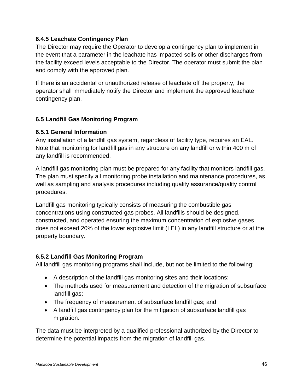# <span id="page-45-0"></span>**6.4.5 Leachate Contingency Plan**

The Director may require the Operator to develop a contingency plan to implement in the event that a parameter in the leachate has impacted soils or other discharges from the facility exceed levels acceptable to the Director. The operator must submit the plan and comply with the approved plan.

If there is an accidental or unauthorized release of leachate off the property, the operator shall immediately notify the Director and implement the approved leachate contingency plan.

# <span id="page-45-1"></span>**6.5 Landfill Gas Monitoring Program**

#### <span id="page-45-2"></span>**6.5.1 General Information**

Any installation of a landfill gas system, regardless of facility type, requires an EAL. Note that monitoring for landfill gas in any structure on any landfill or within 400 m of any landfill is recommended.

A landfill gas monitoring plan must be prepared for any facility that monitors landfill gas. The plan must specify all monitoring probe installation and maintenance procedures, as well as sampling and analysis procedures including quality assurance/quality control procedures.

Landfill gas monitoring typically consists of measuring the combustible gas concentrations using constructed gas probes. All landfills should be designed, constructed, and operated ensuring the maximum concentration of explosive gases does not exceed 20% of the lower explosive limit (LEL) in any landfill structure or at the property boundary.

# <span id="page-45-3"></span>**6.5.2 Landfill Gas Monitoring Program**

All landfill gas monitoring programs shall include, but not be limited to the following:

- A description of the landfill gas monitoring sites and their locations;
- The methods used for measurement and detection of the migration of subsurface landfill gas;
- The frequency of measurement of subsurface landfill gas; and
- A landfill gas contingency plan for the mitigation of subsurface landfill gas migration.

The data must be interpreted by a qualified professional authorized by the Director to determine the potential impacts from the migration of landfill gas.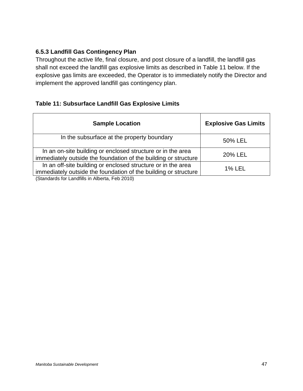# <span id="page-46-0"></span>**6.5.3 Landfill Gas Contingency Plan**

Throughout the active life, final closure, and post closure of a landfill, the landfill gas shall not exceed the landfill gas explosive limits as described in Table 11 below. If the explosive gas limits are exceeded, the Operator is to immediately notify the Director and implement the approved landfill gas contingency plan.

# **Table 11: Subsurface Landfill Gas Explosive Limits**

| <b>Sample Location</b>                                                                                                          | <b>Explosive Gas Limits</b> |
|---------------------------------------------------------------------------------------------------------------------------------|-----------------------------|
| In the subsurface at the property boundary                                                                                      | 50% LEL                     |
| In an on-site building or enclosed structure or in the area<br>immediately outside the foundation of the building or structure  | 20% LEL                     |
| In an off-site building or enclosed structure or in the area<br>immediately outside the foundation of the building or structure | <b>1% LEL</b>               |
| (Standards for Landfills in Alberta, Feb 2010)                                                                                  |                             |

*Manitoba Sustainable Development* 47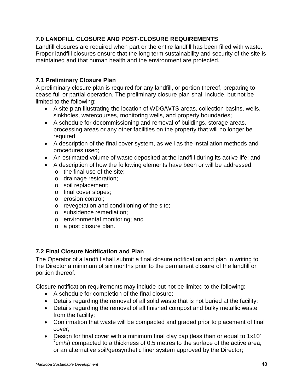# <span id="page-47-0"></span>**7.0 LANDFILL CLOSURE AND POST-CLOSURE REQUIREMENTS**

Landfill closures are required when part or the entire landfill has been filled with waste. Proper landfill closures ensure that the long term sustainability and security of the site is maintained and that human health and the environment are protected.

# <span id="page-47-1"></span>**7.1 Preliminary Closure Plan**

A preliminary closure plan is required for any landfill, or portion thereof, preparing to cease full or partial operation. The preliminary closure plan shall include, but not be limited to the following:

- A site plan illustrating the location of WDG/WTS areas, collection basins, wells, sinkholes, watercourses, monitoring wells, and property boundaries;
- A schedule for decommissioning and removal of buildings, storage areas, processing areas or any other facilities on the property that will no longer be required;
- A description of the final cover system, as well as the installation methods and procedures used;
- An estimated volume of waste deposited at the landfill during its active life; and
- A description of how the following elements have been or will be addressed:
	- o the final use of the site;
	- o drainage restoration;
	- o soil replacement;
	- o final cover slopes;
	- o erosion control;
	- o revegetation and conditioning of the site;
	- o subsidence remediation;
	- o environmental monitoring; and
	- o a post closure plan.

# <span id="page-47-2"></span>**7.2 Final Closure Notification and Plan**

The Operator of a landfill shall submit a final closure notification and plan in writing to the Director a minimum of six months prior to the permanent closure of the landfill or portion thereof.

Closure notification requirements may include but not be limited to the following:

- A schedule for completion of the final closure;
- Details regarding the removal of all solid waste that is not buried at the facility;
- Details regarding the removal of all finished compost and bulky metallic waste from the facility;
- Confirmation that waste will be compacted and graded prior to placement of final cover;
- Design for final cover with a minimum final clay cap (less than or equal to 1x10  $7$ cm/s) compacted to a thickness of 0.5 metres to the surface of the active area, or an alternative soil/geosynthetic liner system approved by the Director;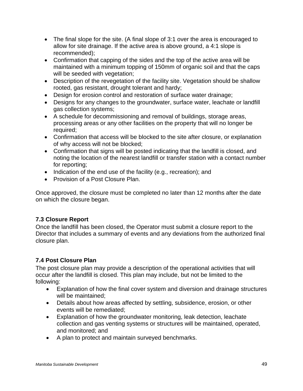- The final slope for the site. (A final slope of 3:1 over the area is encouraged to allow for site drainage. If the active area is above ground, a 4:1 slope is recommended);
- Confirmation that capping of the sides and the top of the active area will be maintained with a minimum topping of 150mm of organic soil and that the caps will be seeded with vegetation;
- Description of the revegetation of the facility site. Vegetation should be shallow rooted, gas resistant, drought tolerant and hardy;
- Design for erosion control and restoration of surface water drainage;
- Designs for any changes to the groundwater, surface water, leachate or landfill gas collection systems;
- A schedule for decommissioning and removal of buildings, storage areas, processing areas or any other facilities on the property that will no longer be required;
- Confirmation that access will be blocked to the site after closure, or explanation of why access will not be blocked;
- Confirmation that signs will be posted indicating that the landfill is closed, and noting the location of the nearest landfill or transfer station with a contact number for reporting;
- Indication of the end use of the facility (e.g., recreation); and
- Provision of a Post Closure Plan.

Once approved, the closure must be completed no later than 12 months after the date on which the closure began.

# <span id="page-48-0"></span>**7.3 Closure Report**

Once the landfill has been closed, the Operator must submit a closure report to the Director that includes a summary of events and any deviations from the authorized final closure plan.

# <span id="page-48-1"></span>**7.4 Post Closure Plan**

The post closure plan may provide a description of the operational activities that will occur after the landfill is closed. This plan may include, but not be limited to the following:

- Explanation of how the final cover system and diversion and drainage structures will be maintained;
- Details about how areas affected by settling, subsidence, erosion, or other events will be remediated;
- Explanation of how the groundwater monitoring, leak detection, leachate collection and gas venting systems or structures will be maintained, operated, and monitored; and
- A plan to protect and maintain surveyed benchmarks.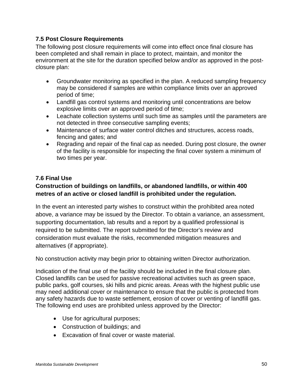## <span id="page-49-0"></span>**7.5 Post Closure Requirements**

The following post closure requirements will come into effect once final closure has been completed and shall remain in place to protect, maintain, and monitor the environment at the site for the duration specified below and/or as approved in the postclosure plan:

- Groundwater monitoring as specified in the plan. A reduced sampling frequency may be considered if samples are within compliance limits over an approved period of time;
- Landfill gas control systems and monitoring until concentrations are below explosive limits over an approved period of time;
- Leachate collection systems until such time as samples until the parameters are not detected in three consecutive sampling events;
- Maintenance of surface water control ditches and structures, access roads, fencing and gates; and
- Regrading and repair of the final cap as needed. During post closure, the owner of the facility is responsible for inspecting the final cover system a minimum of two times per year.

#### <span id="page-49-1"></span>**7.6 Final Use**

# **Construction of buildings on landfills, or abandoned landfills, or within 400 metres of an active or closed landfill is prohibited under the regulation.**

In the event an interested party wishes to construct within the prohibited area noted above, a variance may be issued by the Director. To obtain a variance, an assessment, supporting documentation, lab results and a report by a qualified professional is required to be submitted. The report submitted for the Director's review and consideration must evaluate the risks, recommended mitigation measures and alternatives (if appropriate).

No construction activity may begin prior to obtaining written Director authorization.

Indication of the final use of the facility should be included in the final closure plan. Closed landfills can be used for passive recreational activities such as green space, public parks, golf courses, ski hills and picnic areas. Areas with the highest public use may need additional cover or maintenance to ensure that the public is protected from any safety hazards due to waste settlement, erosion of cover or venting of landfill gas. The following end uses are prohibited unless approved by the Director:

- Use for agricultural purposes;
- Construction of buildings; and
- Excavation of final cover or waste material.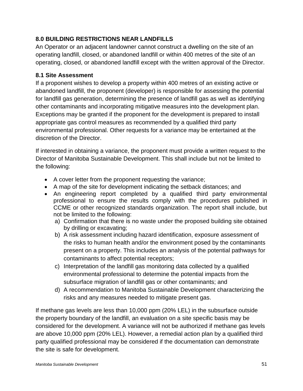# <span id="page-50-0"></span>**8.0 BUILDING RESTRICTIONS NEAR LANDFILLS**

An Operator or an adjacent landowner cannot construct a dwelling on the site of an operating landfill, closed, or abandoned landfill or within 400 metres of the site of an operating, closed, or abandoned landfill except with the written approval of the Director.

#### <span id="page-50-1"></span>**8.1 Site Assessment**

If a proponent wishes to develop a property within 400 metres of an existing active or abandoned landfill, the proponent (developer) is responsible for assessing the potential for landfill gas generation, determining the presence of landfill gas as well as identifying other contaminants and incorporating mitigative measures into the development plan. Exceptions may be granted if the proponent for the development is prepared to install appropriate gas control measures as recommended by a qualified third party environmental professional. Other requests for a variance may be entertained at the discretion of the Director.

If interested in obtaining a variance, the proponent must provide a written request to the Director of Manitoba Sustainable Development. This shall include but not be limited to the following:

- A cover letter from the proponent requesting the variance;
- A map of the site for development indicating the setback distances; and
- An engineering report completed by a qualified third party environmental professional to ensure the results comply with the procedures published in CCME or other recognized standards organization. The report shall include, but not be limited to the following:
	- a) Confirmation that there is no waste under the proposed building site obtained by drilling or excavating;
	- b) A risk assessment including hazard identification, exposure assessment of the risks to human health and/or the environment posed by the contaminants present on a property. This includes an analysis of the potential pathways for contaminants to affect potential receptors;
	- c) Interpretation of the landfill gas monitoring data collected by a qualified environmental professional to determine the potential impacts from the subsurface migration of landfill gas or other contaminants; and
	- d) A recommendation to Manitoba Sustainable Development characterizing the risks and any measures needed to mitigate present gas.

If methane gas levels are less than 10,000 ppm (20% LEL) in the subsurface outside the property boundary of the landfill, an evaluation on a site specific basis may be considered for the development. A variance will not be authorized if methane gas levels are above 10,000 ppm (20% LEL). However, a remedial action plan by a qualified third party qualified professional may be considered if the documentation can demonstrate the site is safe for development.